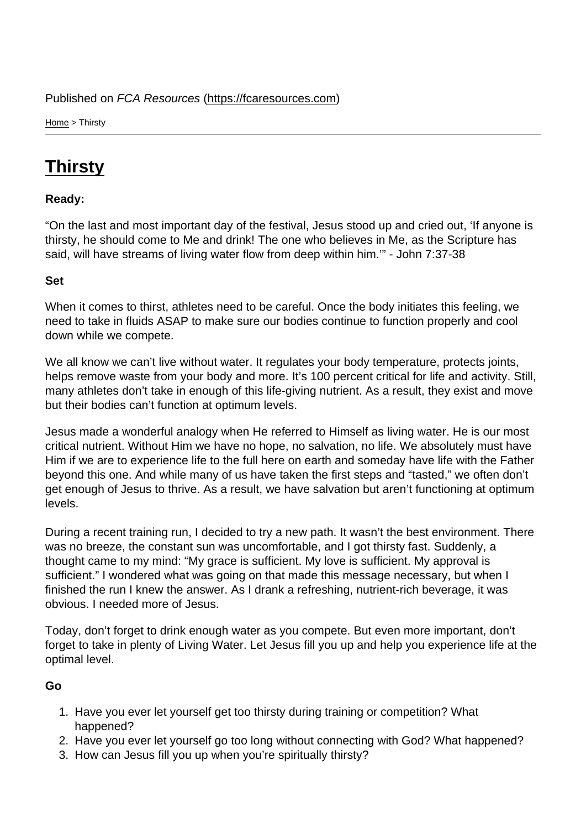Home > Thirsty

## **[Thi](https://fcaresources.com/)rsty**

Ready:

["On the last](https://fcaresources.com/devotional/thirsty) and most important day of the festival, Jesus stood up and cried out, 'If anyone is thirsty, he should come to Me and drink! The one who believes in Me, as the Scripture has said, will have streams of living water flow from deep within him.'" - John 7:37-38

Set

When it comes to thirst, athletes need to be careful. Once the body initiates this feeling, we need to take in fluids ASAP to make sure our bodies continue to function properly and cool down while we compete.

We all know we can't live without water. It regulates your body temperature, protects joints, helps remove waste from your body and more. It's 100 percent critical for life and activity. Still, many athletes don't take in enough of this life-giving nutrient. As a result, they exist and move but their bodies can't function at optimum levels.

Jesus made a wonderful analogy when He referred to Himself as living water. He is our most critical nutrient. Without Him we have no hope, no salvation, no life. We absolutely must have Him if we are to experience life to the full here on earth and someday have life with the Father beyond this one. And while many of us have taken the first steps and "tasted," we often don't get enough of Jesus to thrive. As a result, we have salvation but aren't functioning at optimum levels.

During a recent training run, I decided to try a new path. It wasn't the best environment. There was no breeze, the constant sun was uncomfortable, and I got thirsty fast. Suddenly, a thought came to my mind: "My grace is sufficient. My love is sufficient. My approval is sufficient." I wondered what was going on that made this message necessary, but when I finished the run I knew the answer. As I drank a refreshing, nutrient-rich beverage, it was obvious. I needed more of Jesus.

Today, don't forget to drink enough water as you compete. But even more important, don't forget to take in plenty of Living Water. Let Jesus fill you up and help you experience life at the optimal level.

Go

- 1. Have you ever let yourself get too thirsty during training or competition? What happened?
- 2. Have you ever let yourself go too long without connecting with God? What happened?
- 3. How can Jesus fill you up when you're spiritually thirsty?